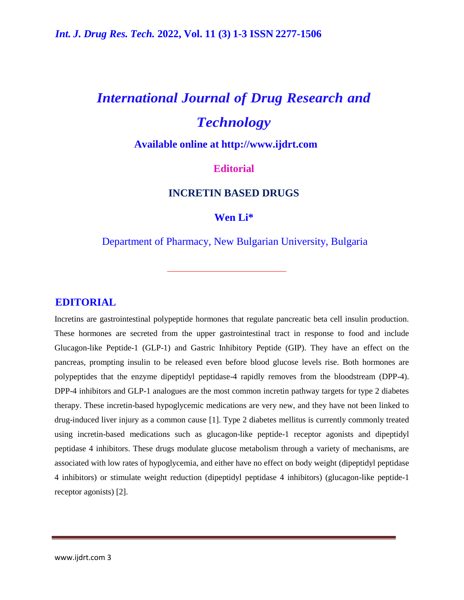# *International Journal of Drug Research and Technology*

**Available online at [http://www.ijdrt.com](http://www.ijdrt.com/)**

# **Editorial**

## **INCRETIN BASED DRUGS**

## **Wen Li\***

## Department of Pharmacy, New Bulgarian University, Bulgaria

### **EDITORIAL**

Incretins are gastrointestinal polypeptide hormones that regulate pancreatic beta cell insulin production. These hormones are secreted from the upper gastrointestinal tract in response to food and include Glucagon-like Peptide-1 (GLP-1) and Gastric Inhibitory Peptide (GIP). They have an effect on the pancreas, prompting insulin to be released even before blood glucose levels rise. Both hormones are polypeptides that the enzyme dipeptidyl peptidase-4 rapidly removes from the bloodstream (DPP-4). DPP-4 inhibitors and GLP-1 analogues are the most common incretin pathway targets for type 2 diabetes therapy. These incretin-based hypoglycemic medications are very new, and they have not been linked to drug-induced liver injury as a common cause [1]. Type 2 diabetes mellitus is currently commonly treated using incretin-based medications such as glucagon-like peptide-1 receptor agonists and dipeptidyl peptidase 4 inhibitors. These drugs modulate glucose metabolism through a variety of mechanisms, are associated with low rates of hypoglycemia, and either have no effect on body weight (dipeptidyl peptidase 4 inhibitors) or stimulate weight reduction (dipeptidyl peptidase 4 inhibitors) (glucagon-like peptide-1 receptor agonists) [2].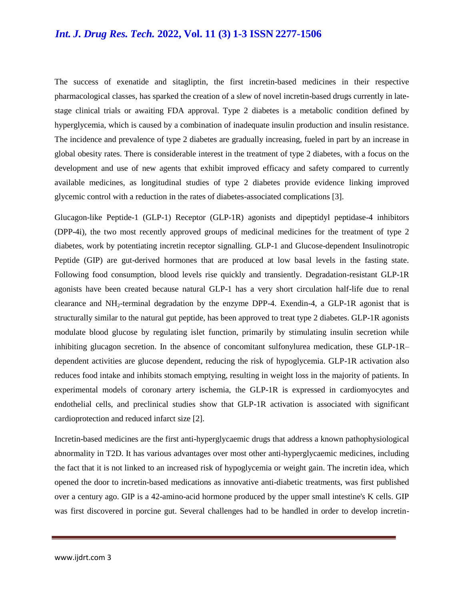# *Int. J. Drug Res. Tech.* **2022, Vol. 11 (3) 1-3 ISSN 2277-1506**

The success of exenatide and sitagliptin, the first incretin-based medicines in their respective pharmacological classes, has sparked the creation of a slew of novel incretin-based drugs currently in latestage clinical trials or awaiting FDA approval. Type 2 diabetes is a metabolic condition defined by hyperglycemia, which is caused by a combination of inadequate insulin production and insulin resistance. The incidence and prevalence of type 2 diabetes are gradually increasing, fueled in part by an increase in global obesity rates. There is considerable interest in the treatment of type 2 diabetes, with a focus on the development and use of new agents that exhibit improved efficacy and safety compared to currently available medicines, as longitudinal studies of type 2 diabetes provide evidence linking improved glycemic control with a reduction in the rates of diabetes-associated complications [3].

Glucagon-like Peptide-1 (GLP-1) Receptor (GLP-1R) agonists and dipeptidyl peptidase-4 inhibitors (DPP-4i), the two most recently approved groups of medicinal medicines for the treatment of type 2 diabetes, work by potentiating incretin receptor signalling. GLP-1 and Glucose-dependent Insulinotropic Peptide (GIP) are gut-derived hormones that are produced at low basal levels in the fasting state. Following food consumption, blood levels rise quickly and transiently. Degradation-resistant GLP-1R agonists have been created because natural GLP-1 has a very short circulation half-life due to renal clearance and NH2-terminal degradation by the enzyme DPP-4. Exendin-4, a GLP-1R agonist that is structurally similar to the natural gut peptide, has been approved to treat type 2 diabetes. GLP-1R agonists modulate blood glucose by regulating islet function, primarily by stimulating insulin secretion while inhibiting glucagon secretion. In the absence of concomitant sulfonylurea medication, these GLP-1R– dependent activities are glucose dependent, reducing the risk of hypoglycemia. GLP-1R activation also reduces food intake and inhibits stomach emptying, resulting in weight loss in the majority of patients. In experimental models of coronary artery ischemia, the GLP-1R is expressed in cardiomyocytes and endothelial cells, and preclinical studies show that GLP-1R activation is associated with significant cardioprotection and reduced infarct size [2].

Incretin-based medicines are the first anti-hyperglycaemic drugs that address a known pathophysiological abnormality in T2D. It has various advantages over most other anti-hyperglycaemic medicines, including the fact that it is not linked to an increased risk of hypoglycemia or weight gain. The incretin idea, which opened the door to incretin-based medications as innovative anti-diabetic treatments, was first published over a century ago. GIP is a 42-amino-acid hormone produced by the upper small intestine's K cells. GIP was first discovered in porcine gut. Several challenges had to be handled in order to develop incretin-